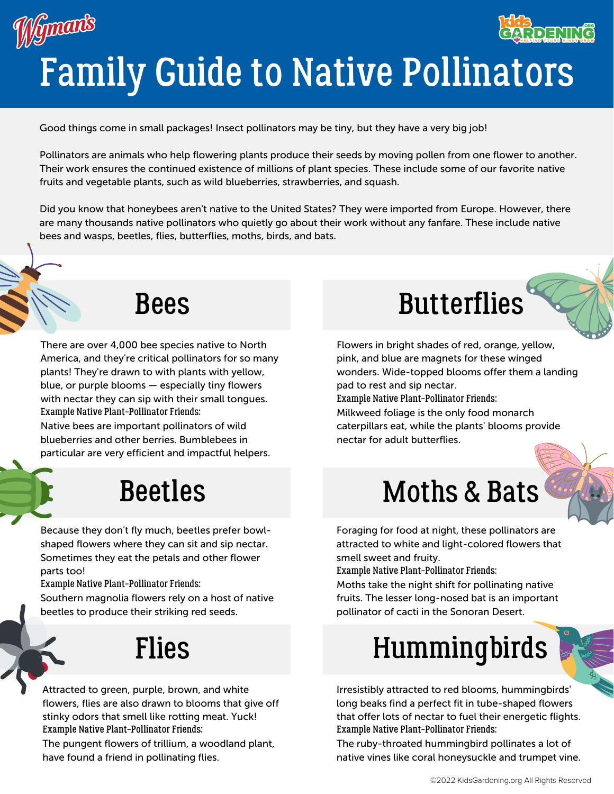#### Gmants **ADEMIC** Family Guide to Native Pollinators

Good things come in small packages! Insect pollinators may be tiny, but they have a very big job!

Pollinators are animals who help flowering plants produce their seeds by moving pollen from one flower to another. Their work ensures the continued existence of millions of plant species. These include some of our favorite native fruits and vegetable plants, such as wild blueberries, strawberries, and squash.

Did you know that honeybees aren't native to the United States? They were imported from Europe. However, there are many thousands native pollinators who quietly go about their work without any fanfare. These include native bees and wasps, beetles, flies, butterflies, moths, birds, and bats.

There are over 4,000 bee species native to North America, and they're critical pollinators for so many plants! They're drawn to with plants with yellow, blue, or purple blooms — especially tiny flowers with nectar they can sip with their small tongues. Example Native Plant-Pollinator Friends:

Native bees are important pollinators of wild blueberries and other berries. Bumblebees in particular are very efficient and impactful helpers.

#### Beetles

Because they don't fly much, beetles prefer bowlshaped flowers where they can sit and sip nectar. Sometimes they eat the petals and other flower parts too!

Example Native Plant-Pollinator Friends:

Southern magnolia flowers rely on a host of native beetles to produce their striking red seeds.

## Flies

Attracted to green, purple, brown, and white flowers, flies are also drawn to blooms that give off stinky odors that smell like rotting meat. Yuck! Example Native Plant-Pollinator Friends:

The pungent flowers of trillium, a woodland plant, have found a friend in pollinating flies.



Flowers in bright shades of red, orange, yellow, pink, and blue are magnets for these winged wonders. Wide-topped blooms offer them a landing pad to rest and sip nectar. Example Native Plant-Pollinator Friends: Milkweed foliage is the only food monarch

caterpillars eat, while the plants' blooms provide nectar for adult butterflies.



## Moths & Bats

Foraging for food at night, these pollinators are attracted to white and light-colored flowers that smell sweet and fruity.

Example Native Plant-Pollinator Friends:

Moths take the night shift for pollinating native fruits. The lesser long-nosed bat is an important pollinator of cacti in the Sonoran Desert.

# Hummingbirds

Irresistibly attracted to red blooms, hummingbirds' long beaks find a perfect fit in tube-shaped flowers that offer lots of nectar to fuel their energetic flights. Example Native Plant-Pollinator Friends:

The ruby-throated hummingbird pollinates a lot of native vines like coral honeysuckle and trumpet vine.